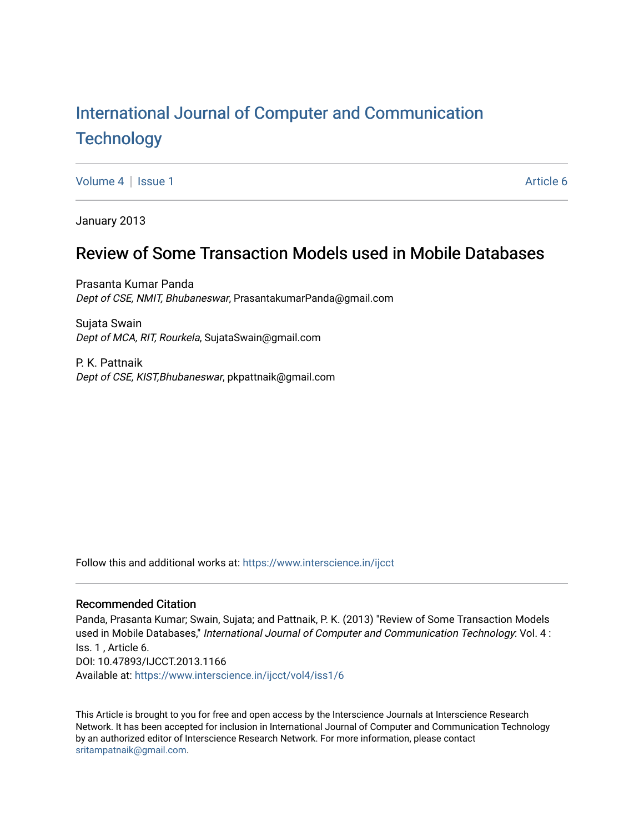# [International Journal of Computer and Communication](https://www.interscience.in/ijcct)  **Technology**

[Volume 4](https://www.interscience.in/ijcct/vol4) | [Issue 1](https://www.interscience.in/ijcct/vol4/iss1) Article 6

January 2013

## Review of Some Transaction Models used in Mobile Databases

Prasanta Kumar Panda Dept of CSE, NMIT, Bhubaneswar, PrasantakumarPanda@gmail.com

Sujata Swain Dept of MCA, RIT, Rourkela, SujataSwain@gmail.com

P. K. Pattnaik Dept of CSE, KIST,Bhubaneswar, pkpattnaik@gmail.com

Follow this and additional works at: [https://www.interscience.in/ijcct](https://www.interscience.in/ijcct?utm_source=www.interscience.in%2Fijcct%2Fvol4%2Fiss1%2F6&utm_medium=PDF&utm_campaign=PDFCoverPages)

### Recommended Citation

Panda, Prasanta Kumar; Swain, Sujata; and Pattnaik, P. K. (2013) "Review of Some Transaction Models used in Mobile Databases," International Journal of Computer and Communication Technology: Vol. 4 : Iss. 1 , Article 6. DOI: 10.47893/IJCCT.2013.1166 Available at: [https://www.interscience.in/ijcct/vol4/iss1/6](https://www.interscience.in/ijcct/vol4/iss1/6?utm_source=www.interscience.in%2Fijcct%2Fvol4%2Fiss1%2F6&utm_medium=PDF&utm_campaign=PDFCoverPages)

This Article is brought to you for free and open access by the Interscience Journals at Interscience Research Network. It has been accepted for inclusion in International Journal of Computer and Communication Technology by an authorized editor of Interscience Research Network. For more information, please contact [sritampatnaik@gmail.com](mailto:sritampatnaik@gmail.com).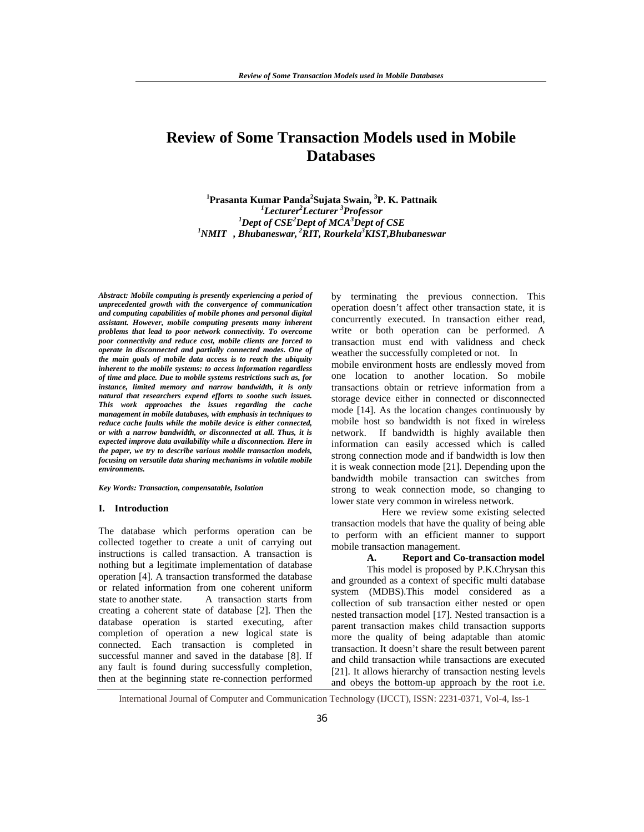## **Review of Some Transaction Models used in Mobile Databases**

<sup>1</sup> Prasanta Kumar Panda<sup>2</sup>Sujata Swain, <sup>3</sup>P. K. Pattnaik <sup>*L</sup>* Lecturer<sup>2</sup> Lecturer<sup>3</sup> Professor</sup> *Dept of CSE<sup>2</sup> Dept of MCA<sup>3</sup> Dept of CSE 1 NMIT , Bhubaneswar, 2RIT, Rourkela3 KIST,Bhubaneswar* 

*Abstract: Mobile computing is presently experiencing a period of unprecedented growth with the convergence of communication and computing capabilities of mobile phones and personal digital assistant. However, mobile computing presents many inherent problems that lead to poor network connectivity. To overcome poor connectivity and reduce cost, mobile clients are forced to operate in disconnected and partially connected modes. One of the main goals of mobile data access is to reach the ubiquity inherent to the mobile systems: to access information regardless of time and place. Due to mobile systems restrictions such as, for instance, limited memory and narrow bandwidth, it is only natural that researchers expend efforts to soothe such issues. This work approaches the issues regarding the cache management in mobile databases, with emphasis in techniques to reduce cache faults while the mobile device is either connected, or with a narrow bandwidth, or disconnected at all. Thus, it is expected improve data availability while a disconnection. Here in the paper, we try to describe various mobile transaction models, focusing on versatile data sharing mechanisms in volatile mobile environments.* 

*Key Words: Transaction, compensatable, Isolation* 

#### **I. Introduction**

The database which performs operation can be collected together to create a unit of carrying out instructions is called transaction. A transaction is nothing but a legitimate implementation of database operation [4]. A transaction transformed the database or related information from one coherent uniform state to another state. A transaction starts from creating a coherent state of database [2]. Then the database operation is started executing, after completion of operation a new logical state is connected. Each transaction is completed in successful manner and saved in the database [8]. If any fault is found during successfully completion, then at the beginning state re-connection performed

by terminating the previous connection. This operation doesn't affect other transaction state, it is concurrently executed. In transaction either read, write or both operation can be performed. A transaction must end with validness and check weather the successfully completed or not. In mobile environment hosts are endlessly moved from one location to another location. So mobile transactions obtain or retrieve information from a storage device either in connected or disconnected mode [14]. As the location changes continuously by mobile host so bandwidth is not fixed in wireless network. If bandwidth is highly available then information can easily accessed which is called strong connection mode and if bandwidth is low then it is weak connection mode [21]. Depending upon the bandwidth mobile transaction can switches from strong to weak connection mode, so changing to

 Here we review some existing selected transaction models that have the quality of being able to perform with an efficient manner to support mobile transaction management.

lower state very common in wireless network.

#### **A. Report and Co-transaction model**

This model is proposed by P.K.Chrysan this and grounded as a context of specific multi database system (MDBS).This model considered as a collection of sub transaction either nested or open nested transaction model [17]. Nested transaction is a parent transaction makes child transaction supports more the quality of being adaptable than atomic transaction. It doesn't share the result between parent and child transaction while transactions are executed [21]. It allows hierarchy of transaction nesting levels and obeys the bottom-up approach by the root i.e.

International Journal of Computer and Communication Technology (IJCCT), ISSN: 2231-0371, Vol-4, Iss-1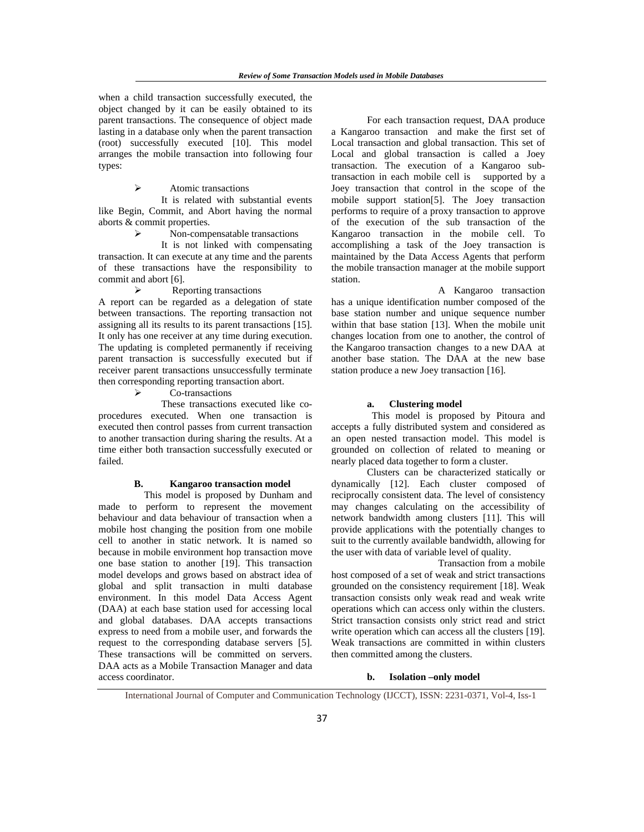when a child transaction successfully executed, the object changed by it can be easily obtained to its parent transactions. The consequence of object made lasting in a database only when the parent transaction (root) successfully executed [10]. This model arranges the mobile transaction into following four types:

#### ¾ Atomic transactions

 It is related with substantial events like Begin, Commit, and Abort having the normal aborts & commit properties.

 $\triangleright$  Non-compensatable transactions

 It is not linked with compensating transaction. It can execute at any time and the parents of these transactions have the responsibility to commit and abort [6].

 $\triangleright$  Reporting transactions

A report can be regarded as a delegation of state between transactions. The reporting transaction not assigning all its results to its parent transactions [15]. It only has one receiver at any time during execution. The updating is completed permanently if receiving parent transaction is successfully executed but if receiver parent transactions unsuccessfully terminate then corresponding reporting transaction abort.

 $\triangleright$  Co-transactions

 These transactions executed like coprocedures executed. When one transaction is executed then control passes from current transaction to another transaction during sharing the results. At a time either both transaction successfully executed or failed.

#### **B. Kangaroo transaction model**

 This model is proposed by Dunham and made to perform to represent the movement behaviour and data behaviour of transaction when a mobile host changing the position from one mobile cell to another in static network. It is named so because in mobile environment hop transaction move one base station to another [19]. This transaction model develops and grows based on abstract idea of global and split transaction in multi database environment. In this model Data Access Agent (DAA) at each base station used for accessing local and global databases. DAA accepts transactions express to need from a mobile user, and forwards the request to the corresponding database servers [5]. These transactions will be committed on servers. DAA acts as a Mobile Transaction Manager and data access coordinator.

For each transaction request, DAA produce a Kangaroo transaction and make the first set of Local transaction and global transaction. This set of Local and global transaction is called a Joey transaction. The execution of a Kangaroo subtransaction in each mobile cell is supported by a Joey transaction that control in the scope of the mobile support station[5]. The Joey transaction performs to require of a proxy transaction to approve of the execution of the sub transaction of the Kangaroo transaction in the mobile cell. To accomplishing a task of the Joey transaction is maintained by the Data Access Agents that perform the mobile transaction manager at the mobile support station.

 A Kangaroo transaction has a unique identification number composed of the base station number and unique sequence number within that base station [13]. When the mobile unit changes location from one to another, the control of the Kangaroo transaction changes to a new DAA at another base station. The DAA at the new base station produce a new Joey transaction [16].

#### **a. Clustering model**

 This model is proposed by Pitoura and accepts a fully distributed system and considered as an open nested transaction model. This model is grounded on collection of related to meaning or nearly placed data together to form a cluster.

Clusters can be characterized statically or dynamically [12]. Each cluster composed of reciprocally consistent data. The level of consistency may changes calculating on the accessibility of network bandwidth among clusters [11]. This will provide applications with the potentially changes to suit to the currently available bandwidth, allowing for the user with data of variable level of quality.

 Transaction from a mobile host composed of a set of weak and strict transactions grounded on the consistency requirement [18]. Weak transaction consists only weak read and weak write operations which can access only within the clusters. Strict transaction consists only strict read and strict write operation which can access all the clusters [19]. Weak transactions are committed in within clusters then committed among the clusters.

#### **b. Isolation –only model**

International Journal of Computer and Communication Technology (IJCCT), ISSN: 2231-0371, Vol-4, Iss-1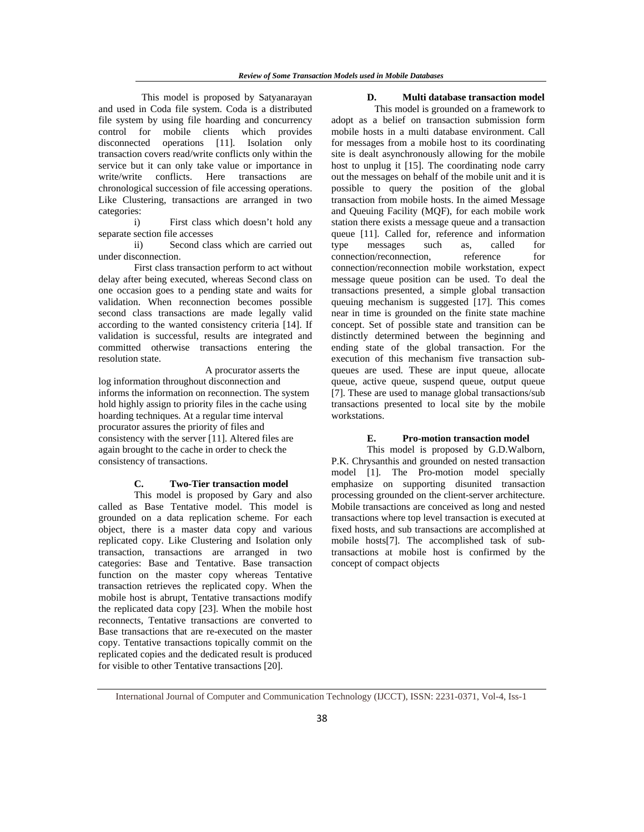This model is proposed by Satyanarayan and used in Coda file system. Coda is a distributed file system by using file hoarding and concurrency control for mobile clients which provides disconnected operations [11]. Isolation only transaction covers read/write conflicts only within the service but it can only take value or importance in write/write conflicts. Here transactions are chronological succession of file accessing operations. Like Clustering, transactions are arranged in two categories:

i) First class which doesn't hold any separate section file accesses

ii) Second class which are carried out under disconnection.

First class transaction perform to act without delay after being executed, whereas Second class on one occasion goes to a pending state and waits for validation. When reconnection becomes possible second class transactions are made legally valid according to the wanted consistency criteria [14]. If validation is successful, results are integrated and committed otherwise transactions entering the resolution state.

 A procurator asserts the log information throughout disconnection and informs the information on reconnection. The system hold highly assign to priority files in the cache using hoarding techniques. At a regular time interval procurator assures the priority of files and consistency with the server [11]. Altered files are again brought to the cache in order to check the consistency of transactions.

#### **C. Two-Tier transaction model**

This model is proposed by Gary and also called as Base Tentative model. This model is grounded on a data replication scheme. For each object, there is a master data copy and various replicated copy. Like Clustering and Isolation only transaction, transactions are arranged in two categories: Base and Tentative. Base transaction function on the master copy whereas Tentative transaction retrieves the replicated copy. When the mobile host is abrupt, Tentative transactions modify the replicated data copy [23]. When the mobile host reconnects, Tentative transactions are converted to Base transactions that are re-executed on the master copy. Tentative transactions topically commit on the replicated copies and the dedicated result is produced for visible to other Tentative transactions [20].

#### **D. Multi database transaction model**

 This model is grounded on a framework to adopt as a belief on transaction submission form mobile hosts in a multi database environment. Call for messages from a mobile host to its coordinating site is dealt asynchronously allowing for the mobile host to unplug it [15]. The coordinating node carry out the messages on behalf of the mobile unit and it is possible to query the position of the global transaction from mobile hosts. In the aimed Message and Queuing Facility (MQF), for each mobile work station there exists a message queue and a transaction queue [11]. Called for, reference and information type messages such as, called for connection/reconnection, reference for connection/reconnection mobile workstation, expect message queue position can be used. To deal the transactions presented, a simple global transaction queuing mechanism is suggested [17]. This comes near in time is grounded on the finite state machine concept. Set of possible state and transition can be distinctly determined between the beginning and ending state of the global transaction. For the execution of this mechanism five transaction subqueues are used. These are input queue, allocate queue, active queue, suspend queue, output queue [7]. These are used to manage global transactions/sub transactions presented to local site by the mobile workstations.

#### **E. Pro-motion transaction model**

This model is proposed by G.D.Walborn, P.K. Chrysanthis and grounded on nested transaction model [1]. The Pro-motion model specially emphasize on supporting disunited transaction processing grounded on the client-server architecture. Mobile transactions are conceived as long and nested transactions where top level transaction is executed at fixed hosts, and sub transactions are accomplished at mobile hosts[7]. The accomplished task of subtransactions at mobile host is confirmed by the concept of compact objects

International Journal of Computer and Communication Technology (IJCCT), ISSN: 2231-0371, Vol-4, Iss-1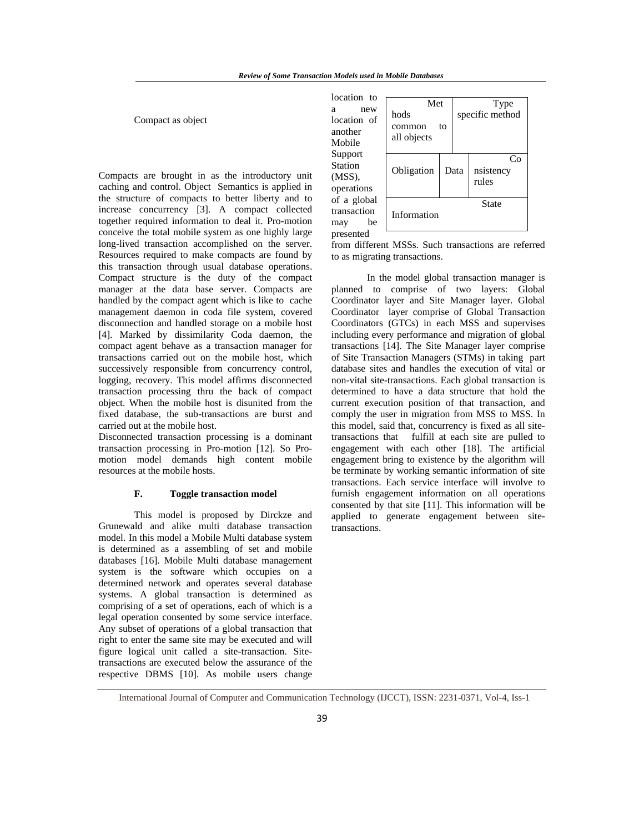Compact as object

Compacts are brought in as the introductory unit caching and control. Object Semantics is applied in the structure of compacts to better liberty and to increase concurrency [3]. A compact collected together required information to deal it. Pro-motion conceive the total mobile system as one highly large long-lived transaction accomplished on the server. Resources required to make compacts are found by this transaction through usual database operations. Compact structure is the duty of the compact manager at the data base server. Compacts are handled by the compact agent which is like to cache management daemon in coda file system, covered disconnection and handled storage on a mobile host [4]. Marked by dissimilarity Coda daemon, the compact agent behave as a transaction manager for transactions carried out on the mobile host, which successively responsible from concurrency control, logging, recovery. This model affirms disconnected transaction processing thru the back of compact object. When the mobile host is disunited from the fixed database, the sub-transactions are burst and carried out at the mobile host.

Disconnected transaction processing is a dominant transaction processing in Pro-motion [12]. So Promotion model demands high content mobile resources at the mobile hosts.

#### **F. Toggle transaction model**

This model is proposed by Dirckze and Grunewald and alike multi database transaction model. In this model a Mobile Multi database system is determined as a assembling of set and mobile databases [16]. Mobile Multi database management system is the software which occupies on a determined network and operates several database systems. A global transaction is determined as comprising of a set of operations, each of which is a legal operation consented by some service interface. Any subset of operations of a global transaction that right to enter the same site may be executed and will figure logical unit called a site-transaction. Sitetransactions are executed below the assurance of the respective DBMS [10]. As mobile users change

| location to                                          |                                            |  |                         |                          |  |  |
|------------------------------------------------------|--------------------------------------------|--|-------------------------|--------------------------|--|--|
| new<br>a<br>location of<br>another<br>Mobile         | Met<br>hods<br>common<br>to<br>all objects |  | Type<br>specific method |                          |  |  |
| Support<br>Station<br>$(MSS)$ ,<br>operations        | Obligation                                 |  | Data                    | Cо<br>nsistency<br>rules |  |  |
| of a global<br>transaction<br>be<br>may<br>presented | State<br>Information                       |  |                         |                          |  |  |

from different MSSs. Such transactions are referred to as migrating transactions.

In the model global transaction manager is planned to comprise of two layers: Global Coordinator layer and Site Manager layer. Global Coordinator layer comprise of Global Transaction Coordinators (GTCs) in each MSS and supervises including every performance and migration of global transactions [14]. The Site Manager layer comprise of Site Transaction Managers (STMs) in taking part database sites and handles the execution of vital or non-vital site-transactions. Each global transaction is determined to have a data structure that hold the current execution position of that transaction, and comply the user in migration from MSS to MSS. In this model, said that, concurrency is fixed as all sitetransactions that fulfill at each site are pulled to engagement with each other [18]. The artificial engagement bring to existence by the algorithm will be terminate by working semantic information of site transactions. Each service interface will involve to furnish engagement information on all operations consented by that site [11]. This information will be applied to generate engagement between sitetransactions.

International Journal of Computer and Communication Technology (IJCCT), ISSN: 2231-0371, Vol-4, Iss-1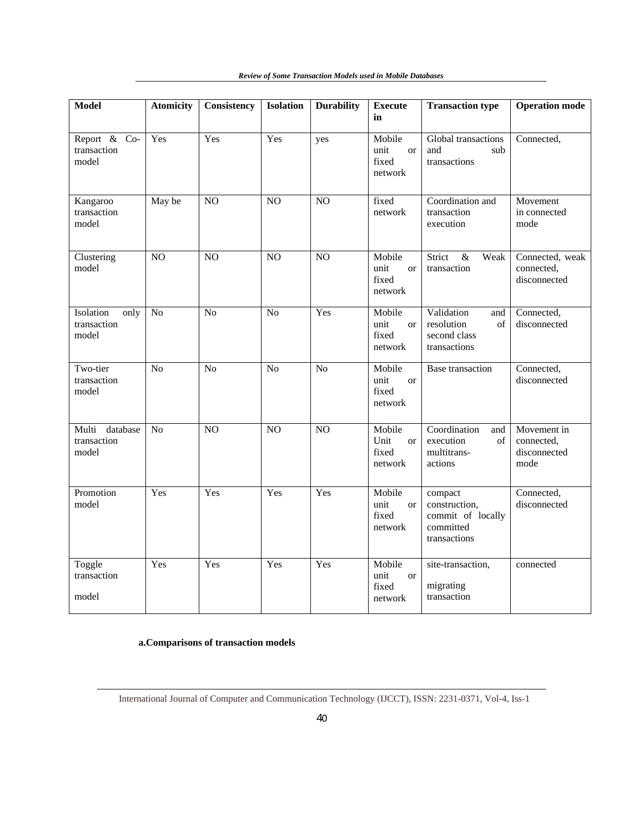*Review of Some Transaction Models used in Mobile Databases* 

| <b>Model</b>                              | <b>Atomicity</b> | Consistency    | <b>Isolation</b> | <b>Durability</b> | <b>Execute</b><br>in                                | <b>Transaction type</b>                                                    | <b>Operation mode</b>                             |
|-------------------------------------------|------------------|----------------|------------------|-------------------|-----------------------------------------------------|----------------------------------------------------------------------------|---------------------------------------------------|
| Report & Co-<br>transaction<br>model      | Yes              | Yes            | Yes              | yes               | Mobile<br>unit<br><sub>or</sub><br>fixed<br>network | Global transactions<br>and<br>sub<br>transactions                          | Connected,                                        |
| Kangaroo<br>transaction<br>model          | May be           | NO             | NO               | NO                | fixed<br>network                                    | Coordination and<br>transaction<br>execution                               | Movement<br>in connected<br>mode                  |
| Clustering<br>model                       | NO               | N <sub>O</sub> | NO               | NO                | Mobile<br>unit<br><b>or</b><br>fixed<br>network     | Weak<br>Strict<br>$\&$<br>transaction                                      | Connected, weak<br>connected,<br>disconnected     |
| Isolation<br>only<br>transaction<br>model | N <sub>o</sub>   | N <sub>0</sub> | No               | Yes               | Mobile<br>unit<br><b>or</b><br>fixed<br>network     | Validation<br>and<br>resolution<br>of<br>second class<br>transactions      | Connected,<br>disconnected                        |
| Two-tier<br>transaction<br>model          | N <sub>o</sub>   | N <sub>o</sub> | $\overline{No}$  | N <sub>o</sub>    | Mobile<br>unit<br><b>or</b><br>fixed<br>network     | Base transaction                                                           | Connected,<br>disconnected                        |
| database<br>Multi<br>transaction<br>model | N <sub>o</sub>   | N <sub>O</sub> | $\overline{NO}$  | NO                | Mobile<br>Unit<br><b>or</b><br>fixed<br>network     | Coordination<br>and<br>execution<br>of<br>multitrans-<br>actions           | Movement in<br>connected,<br>disconnected<br>mode |
| Promotion<br>model                        | Yes              | Yes            | Yes              | Yes               | Mobile<br>unit<br><b>or</b><br>fixed<br>network     | compact<br>construction,<br>commit of locally<br>committed<br>transactions | Connected,<br>disconnected                        |
| Toggle<br>transaction<br>model            | Yes              | Yes            | Yes              | Yes               | Mobile<br>unit<br><sub>or</sub><br>fixed<br>network | site-transaction,<br>migrating<br>transaction                              | connected                                         |

### **a.Comparisons of transaction models**

International Journal of Computer and Communication Technology (IJCCT), ISSN: 2231-0371, Vol-4, Iss-1